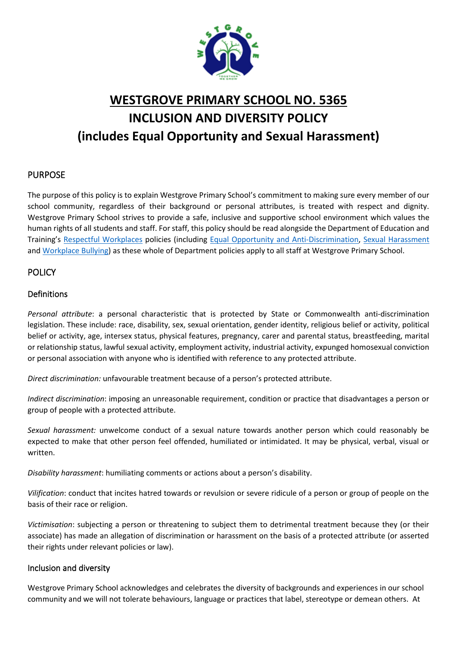

# **WESTGROVE PRIMARY SCHOOL NO. 5365 INCLUSION AND DIVERSITY POLICY (includes Equal Opportunity and Sexual Harassment)**

## PURPOSE

The purpose of this policy is to explain Westgrove Primary School's commitment to making sure every member of our school community, regardless of their background or personal attributes, is treated with respect and dignity. Westgrove Primary School strives to provide a safe, inclusive and supportive school environment which values the human rights of all students and staff. For staff, this policy should be read alongside the Department of Education and Training's [Respectful Workplaces](https://www.education.vic.gov.au/hrweb/divequity/Pages/respect.aspx) policies (including [Equal Opportunity and Anti-Discrimination,](https://www.education.vic.gov.au/hrweb/divequity/Pages/default_eeo.aspx) [Sexual Harassment](https://www.education.vic.gov.au/hrweb/divequity/Pages/SexualHarassment.aspx) and [Workplace Bullying\)](https://www.education.vic.gov.au/hrweb/safetyhw/Pages/workplacebullying.aspx) as these whole of Department policies apply to all staff at Westgrove Primary School.

## POLICY

## Definitions

*Personal attribute*: a personal characteristic that is protected by State or Commonwealth anti-discrimination legislation. These include: race, disability, sex, sexual orientation, gender identity, religious belief or activity, political belief or activity, age, intersex status, physical features, pregnancy, carer and parental status, breastfeeding, marital or relationship status, lawful sexual activity, employment activity, industrial activity, expunged homosexual conviction or personal association with anyone who is identified with reference to any protected attribute.

*Direct discrimination:* unfavourable treatment because of a person's protected attribute.

*Indirect discrimination*: imposing an unreasonable requirement, condition or practice that disadvantages a person or group of people with a protected attribute.

*Sexual harassment:* unwelcome conduct of a sexual nature towards another person which could reasonably be expected to make that other person feel offended, humiliated or intimidated. It may be physical, verbal, visual or written.

*Disability harassment*: humiliating comments or actions about a person's disability.

*Vilification*: conduct that incites hatred towards or revulsion or severe ridicule of a person or group of people on the basis of their race or religion.

*Victimisation*: subjecting a person or threatening to subject them to detrimental treatment because they (or their associate) has made an allegation of discrimination or harassment on the basis of a protected attribute (or asserted their rights under relevant policies or law).

### Inclusion and diversity

Westgrove Primary School acknowledges and celebrates the diversity of backgrounds and experiences in our school community and we will not tolerate behaviours, language or practices that label, stereotype or demean others. At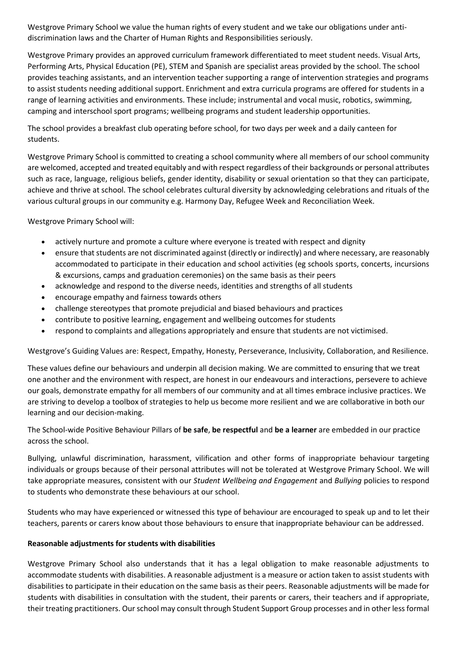Westgrove Primary School we value the human rights of every student and we take our obligations under antidiscrimination laws and the Charter of Human Rights and Responsibilities seriously.

Westgrove Primary provides an approved curriculum framework differentiated to meet student needs. Visual Arts, Performing Arts, Physical Education (PE), STEM and Spanish are specialist areas provided by the school. The school provides teaching assistants, and an intervention teacher supporting a range of intervention strategies and programs to assist students needing additional support. Enrichment and extra curricula programs are offered for students in a range of learning activities and environments. These include; instrumental and vocal music, robotics, swimming, camping and interschool sport programs; wellbeing programs and student leadership opportunities.

The school provides a breakfast club operating before school, for two days per week and a daily canteen for students.

Westgrove Primary School is committed to creating a school community where all members of our school community are welcomed, accepted and treated equitably and with respect regardless of their backgrounds or personal attributes such as race, language, religious beliefs, gender identity, disability or sexual orientation so that they can participate, achieve and thrive at school. The school celebrates cultural diversity by acknowledging celebrations and rituals of the various cultural groups in our community e.g. Harmony Day, Refugee Week and Reconciliation Week.

Westgrove Primary School will:

- actively nurture and promote a culture where everyone is treated with respect and dignity
- ensure that students are not discriminated against (directly or indirectly) and where necessary, are reasonably accommodated to participate in their education and school activities (eg schools sports, concerts, incursions & excursions, camps and graduation ceremonies) on the same basis as their peers
- acknowledge and respond to the diverse needs, identities and strengths of all students
- encourage empathy and fairness towards others
- challenge stereotypes that promote prejudicial and biased behaviours and practices
- contribute to positive learning, engagement and wellbeing outcomes for students
- respond to complaints and allegations appropriately and ensure that students are not victimised.

Westgrove's Guiding Values are: Respect, Empathy, Honesty, Perseverance, Inclusivity, Collaboration, and Resilience.

These values define our behaviours and underpin all decision making. We are committed to ensuring that we treat one another and the environment with respect, are honest in our endeavours and interactions, persevere to achieve our goals, demonstrate empathy for all members of our community and at all times embrace inclusive practices. We are striving to develop a toolbox of strategies to help us become more resilient and we are collaborative in both our learning and our decision-making.

The School-wide Positive Behaviour Pillars of **be safe**, **be respectful** and **be a learner** are embedded in our practice across the school.

Bullying, unlawful discrimination, harassment, vilification and other forms of inappropriate behaviour targeting individuals or groups because of their personal attributes will not be tolerated at Westgrove Primary School. We will take appropriate measures, consistent with our *Student Wellbeing and Engagement* and *Bullying* policies to respond to students who demonstrate these behaviours at our school.

Students who may have experienced or witnessed this type of behaviour are encouraged to speak up and to let their teachers, parents or carers know about those behaviours to ensure that inappropriate behaviour can be addressed.

#### **Reasonable adjustments for students with disabilities**

Westgrove Primary School also understands that it has a legal obligation to make reasonable adjustments to accommodate students with disabilities. A reasonable adjustment is a measure or action taken to assist students with disabilities to participate in their education on the same basis as their peers. Reasonable adjustments will be made for students with disabilities in consultation with the student, their parents or carers, their teachers and if appropriate, their treating practitioners. Our school may consult through Student Support Group processes and in other less formal